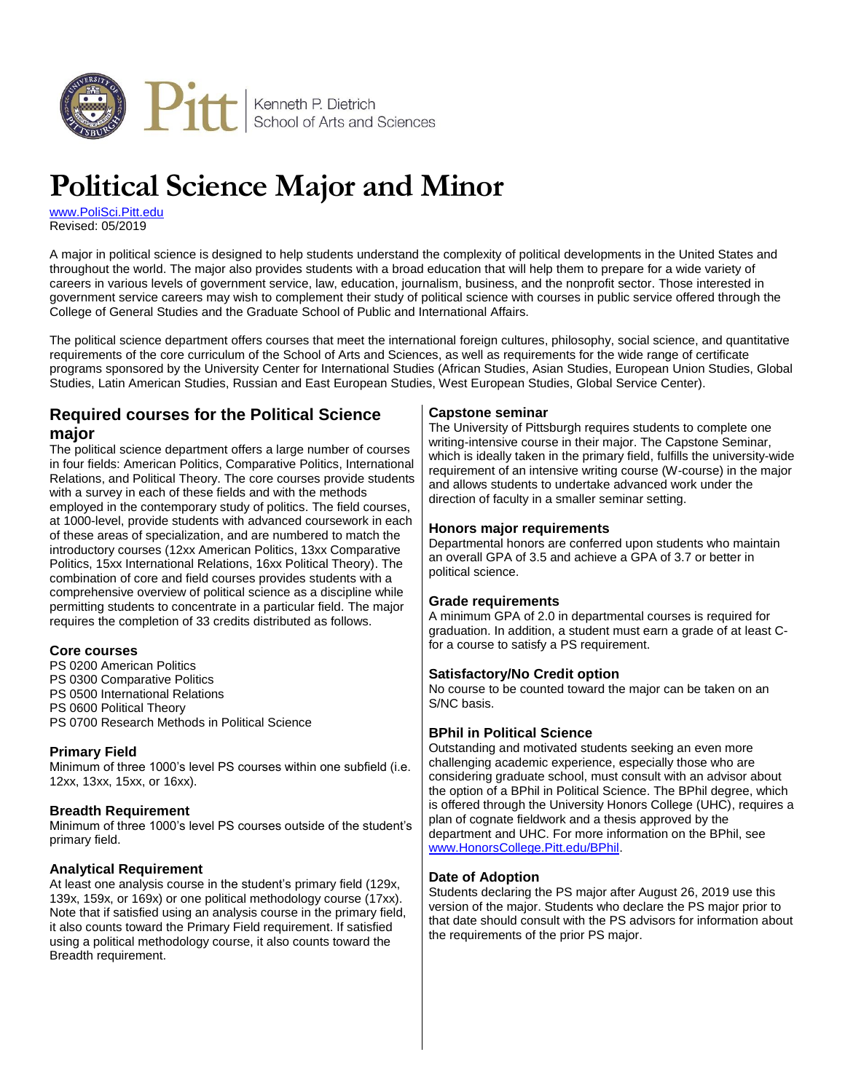

# **Political Science Major and Minor**

[www.PoliSci.Pitt.edu](http://www.polisci.pitt.edu/) Revised: 05/2019

A major in political science is designed to help students understand the complexity of political developments in the United States and throughout the world. The major also provides students with a broad education that will help them to prepare for a wide variety of careers in various levels of government service, law, education, journalism, business, and the nonprofit sector. Those interested in government service careers may wish to complement their study of political science with courses in public service offered through the College of General Studies and the Graduate School of Public and International Affairs.

The political science department offers courses that meet the international foreign cultures, philosophy, social science, and quantitative requirements of the core curriculum of the School of Arts and Sciences, as well as requirements for the wide range of certificate programs sponsored by the University Center for International Studies (African Studies, Asian Studies, European Union Studies, Global Studies, Latin American Studies, Russian and East European Studies, West European Studies, Global Service Center).

# **Required courses for the Political Science major**

The political science department offers a large number of courses in four fields: American Politics, Comparative Politics, International Relations, and Political Theory. The core courses provide students with a survey in each of these fields and with the methods employed in the contemporary study of politics. The field courses, at 1000-level, provide students with advanced coursework in each of these areas of specialization, and are numbered to match the introductory courses (12xx American Politics, 13xx Comparative Politics, 15xx International Relations, 16xx Political Theory). The combination of core and field courses provides students with a comprehensive overview of political science as a discipline while permitting students to concentrate in a particular field. The major requires the completion of 33 credits distributed as follows.

## **Core courses**

PS 0200 American Politics PS 0300 Comparative Politics PS 0500 International Relations PS 0600 Political Theory PS 0700 Research Methods in Political Science

# **Primary Field**

Minimum of three 1000's level PS courses within one subfield (i.e. 12xx, 13xx, 15xx, or 16xx).

## **Breadth Requirement**

Minimum of three 1000's level PS courses outside of the student's primary field.

## **Analytical Requirement**

At least one analysis course in the student's primary field (129x, 139x, 159x, or 169x) or one political methodology course (17xx). Note that if satisfied using an analysis course in the primary field, it also counts toward the Primary Field requirement. If satisfied using a political methodology course, it also counts toward the Breadth requirement.

## **Capstone seminar**

The University of Pittsburgh requires students to complete one writing-intensive course in their major. The Capstone Seminar, which is ideally taken in the primary field, fulfills the university-wide requirement of an intensive writing course (W-course) in the major and allows students to undertake advanced work under the direction of faculty in a smaller seminar setting.

## **Honors major requirements**

Departmental honors are conferred upon students who maintain an overall GPA of 3.5 and achieve a GPA of 3.7 or better in political science.

## **Grade requirements**

A minimum GPA of 2.0 in departmental courses is required for graduation. In addition, a student must earn a grade of at least Cfor a course to satisfy a PS requirement.

# **Satisfactory/No Credit option**

No course to be counted toward the major can be taken on an S/NC basis.

# **BPhil in Political Science**

Outstanding and motivated students seeking an even more challenging academic experience, especially those who are considering graduate school, must consult with an advisor about the option of a BPhil in Political Science. The BPhil degree, which is offered through the University Honors College (UHC), requires a plan of cognate fieldwork and a thesis approved by the department and UHC. For more information on the BPhil, see [www.HonorsCollege.Pitt.edu/BPhil.](http://www.honorscollege.pitt.edu/bphil)

## **Date of Adoption**

Students declaring the PS major after August 26, 2019 use this version of the major. Students who declare the PS major prior to that date should consult with the PS advisors for information about the requirements of the prior PS major.